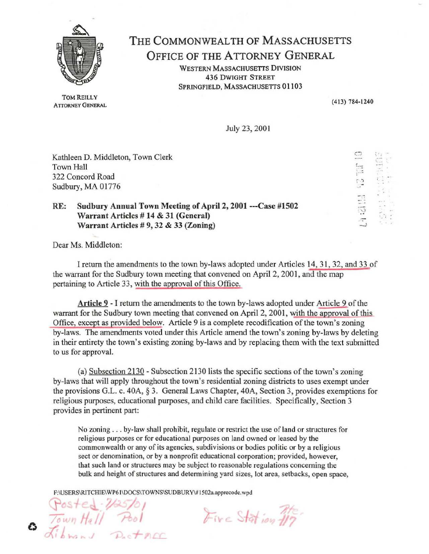

# THE COMMONWEAL TH OF MASSACHUSETTS

OFFICE OF THE ATTORNEY GENERAL

WESTERN MASSACHUSETTS DIVISION 436 DWIGHT STREET SPRINGFIELD, MASSACHUSETTS 01103

TOM REILLY ATTORNEY GENERAL

(413) 784-1240

July 23, 2001

Kathleen D. Middleton, Town Clerk Town Hall 322 Concord Road Sudbury, MA 01776

### RE: Sudbury Annual Town Meeting of April 2, 2001 --Case #1502 Warrant Articles # 14 & 31 (General) Warrant Articles  $# 9, 32 \& 33$  (Zoning)

Dear Ms. Middleton:

I return the amendments to the town by-Jaws adopted under Articles 14, 31, 32 and 33 of the warrant for the Sudbury town meeting that convened on April 2, 2001, and the map pertaining to Article 33, with the approval of this Office.

Article 9 - I return the amendments to the town by-laws adopted under Article 9 of the warrant for the Sudbury town meeting that convened on April 2, 2001, with the approval of this Office, except as provided below. Article 9 is a complete recodification of the town's zoning by-laws. The amendments voted under this Article amend the town's zoning by-laws by deleting in their entirety the town's existing zoning by-laws and by replacing them with the text submitted to us for approval.

(a) Subsection 2130 - Subsection 2130 lists the specific sections of the town's zoning by-laws that will apply throughout the town's residential zoning districts to uses exempt under the provisions G.L. c. 40A, § 3. General Laws Chapter, 40A, Section 3, provides exemptions for religious purposes, educational purposes, and child care facilities. Specifically, Section 3 provides in pertinent part:

No zoning ... by-law shall prohibit, regulate or restrict the use of land or structures for religious purposes or for educational purposes on land owned or leased by the commonwealth or any of its agencies, subdivisions or bodies politic or by a religious sect or denomination, or by a nonprofit educational corporation; provided, however, that such land or structures may be subject to reasonable regulations concerning the bulk and height of structures and determining yard sizes, lot area, setbacks, open space,

F:\USERS\RITCHIE\WP61\DOCS\TOWNS\SUDBURY\#1502a.apprecode.wpd

I I

 $\tilde{p}_{\rm ac}$ +1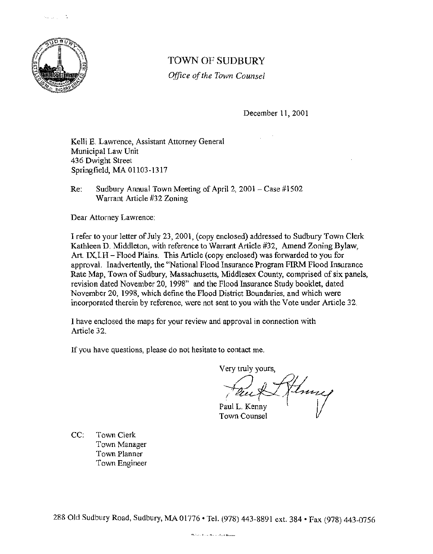

sa ang Pa

# TOWN OF SUDBURY

*Office of the Town Counsel* 

December 11, 2001

Kelli E. Lawrence, Assistant Attorney General Municipal Law Unit 436 Dwight Street Springfield, MA 01103-1317

Re: Sudbury Annual Town Meeting of April 2, 2001-Case #1502 Warrant Article #32 Zoning

Dear Attorney Lawrence:

I refer to your letter of July 23, 2001, (copy enclosed) addressed to Sudbury Town Clerk Kathleen D. Middleton, with reference to Warrant Article #32, Amend Zoning Bylaw, Art. IX,I.H-Flood Plains. This Article (copy enclosed) was forwarded to you for approval. Inadvertently, the "National Flood Insurance Program FIRM Flood Insurance Rate Map, Town of Sudbury, Massachusetts, Middlesex County, comprised of six panels, revision dated November 20, 1998" and the Flood Insurance Study booklet, dated November 20, 1998, which define the Flood District Boundaries, and which were incorporated therein by reference, were not sent to you with the Vote under Article 32.

I have enclosed the maps for your review and approval in connection with Article 32.

If you have questions, please do not hesitate to contact me.

Very truly yours,

Inne *i*  Paul L. Kenny

Town Counsel

CC: Town Clerk Town Manager Town Planner Town Engineer

288 Old Sudbury Road, Sudbury, MA01776 •Tel. (978) 443-8891ext.384 •Fax (978) 443-0756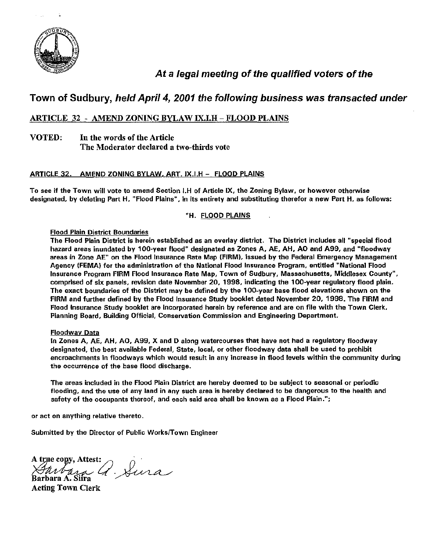

# At a legal meeting of the qualified voters of the

# Town of Sudbury, held April 4, 2001 the following business was transacted under

## ARTICLE 32 - AMEND ZONING BYLAW IX.I.H - FLOOD PLAINS

#### VOTED: In the words of the Article The Moderator declared a two~thirds vote

#### ARTICLE 32. AMEND ZONING BYLAW. ART. IX.l.H - FLOOD PLAINS

To see if the Town will vote to amend Section l.H of Article IX, the Zoning Bylaw, or however otherwise designated, by deleting Part H, "Flood Plains", in Its entirety and substituting therefor a new Part H, as follows:

#### "H. FLOOD PLAINS

#### Flood Plain District Boundaries

The Flood Plain District is herein established as an overlay district. The District includes all "special flood hazard areas inundated by 100-year flood" designated as Zones A. AE, AH, AO and A99, and "floodway areas in Zone AE" on the Flood Insurance Rate Map {FIRM), issued by the Federal Emergency Management Agency (fEMA) for the administration of the National Flood Insurance Program, entitled "National Flood Insurance Program FIRM Flood Insurance Rate Map, Town of Sudbury, Massachusetts, Middlesex County", comprised of six panels, revision date November 20, 1998, indicating the 100-year regulatory flood plain. The exact boundaries of the District may be defined by the 100-year base flood elevations shown on the FIRM and further defined by the Flood Insurance Study booklet dated November 20, 1998. The FIRM and Flood Insurance Study booklet are incorporated herein by reference and are on file with the Town Clerk, Planning Board, Building Official, Conservation Commission and Engineering Department.

#### Floodway Pata

In Zones A, AE, AH, AO, A99, X and O along watercourses that have not had a regulatory floodway designated, the best available Federal, State, local, or other floodway data shall be used to prohibit encroachments in floodways which would result in any increase in flood levels within the community during the occurrence of the base flood discharge.

The areas included in the Flood Plain District are hereby deemed to be subject to seasonal or periodic flooding, and the use of any land in any such area is hereby declared to be dangerous to the health and safety of the occupants thereof, and each said area shall be known as a Flood Plain.";

or act on anything relative thereto.

Submitted by the Director of Public Works/Town Engineer

Atrue copy, Attest:<br>Andrésa Q. Sura

Acting Town Clerk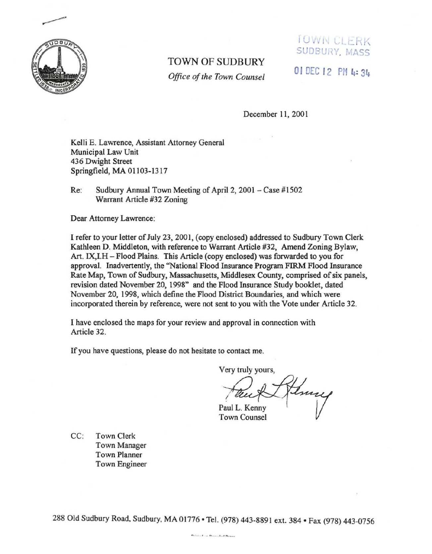

## TOWN OF SUDBURY

*Office of the Town Counsel* **01 DEC 12 PM 4: 34** 

**FOWN CLERK** JDBURY, 1ASS

December 11, 2001

Kelli E. Lawrence, Assistant Attorney General Municipal Law Unit 436 Dwight Street Springfield, MA 01103-1317

Re: Sudbury Annual Town Meeting of April 2, 2001 – Case #1502 Warrant Article #32 Zoning

Dear Attorney Lawrence:

I refer to your letter of July 23, 2001, (copy enclosed) addressed to Sudbury Town Clerk Kathleen D. Middleton, with reference to Warrant Article #32, Amend Zoning Bylaw, Art. IX,I.H - Flood Plains. This Article (copy enclosed) was forwarded to you for approval. Inadvertently, the "National Flood Insurance Program FIRM Flood Insurance Rate Map, Town of Sudbury, Massachusetts, Middlesex County, comprised of six panels, revision dated November 20, 1998" and the Flood Insurance Study booklet, dated November 20, 1998, which define the Flood District Boundaries, and which were incorporated therein by reference, were not sent to you with the Vote under Article 32.

I have enclosed the maps for your review and approval in connection with Article 32.

If you have questions, please do not hesitate to contact me.

Very truly yours,

Inny Paul L. Kenny

**Town Counsel** 

CC: Town Clerk Town Manager Town Planner Town Engineer

288 Old Sudbury Road, Sudbury, MA 01776 · Tel. (978) 443-8891 ext. 384 · Fax (978) 443-0756

r. - J - f'o <sup>I</sup> • In• - ••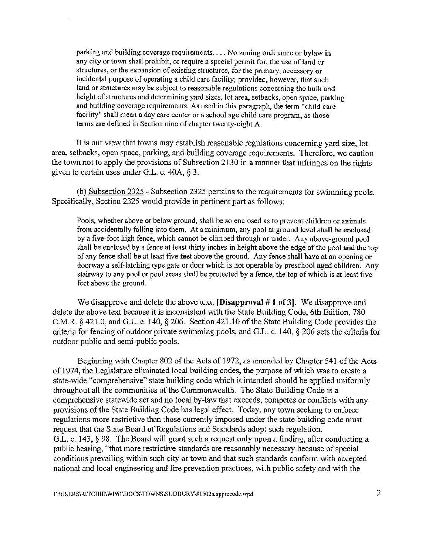parking and building coverage requirements .... No zoning ordinance or bylaw in any city or town shall prohibit, or require a special permit for, the use of land or structures, or the expansion of existing structures, for the primary, accessory or incidental purpose of operating a child care facility; provided, however, that such land or structures may be subject to reasonable regulations concerning the bulk and height of structures and determining yard sizes, lot area, setbacks, open space, parking and building coverage requirements. As used in this paragraph, the tenn "child care facility" shall mean a day care center or a school age child care program, as those tenns are defined in Section nine of chapter twenty-eight A.

It is our view that towns may establish reasonable regulations concerning yard size, lot area, setbacks, open space, parking, and building coverage requirements. Therefore, we caution the town not to apply the provisions of Subsection 2130 in a manner that infringes on the rights given to certain uses under G.L. c. 40A, § 3.

(b) Subsection 2325 - Subsection 2325 pertains to the requirements for swimming pools. Specifically, Section 2325 would provide in pertinent part as follows:

Pools, whether above or below ground, shall be so enclosed as to prevent children or animals from accidentally falling into them. At a minimum, any pool at ground level shall be enclosed by a five-foot high fence, which cannot be climbed through or under. Any above-ground pool shall be enclosed by a fence at least thirty inches in height above the edge of the pool and the top of any fence shall be at least five feet above the ground. Any fence shall have at an opening or doorway a self-latching type gate or door which is not operable by preschool aged children. Any stainvay to any pool or pool areas shall be protected by a fence, the top of which is at least five feet above the ground.

We disapprove and delete the above text. **[Disapproval # 1 of 3]**. We disapprove and delete the above text because it is inconsistent with the State Building Code, 6th Edition, 780 C.M.R. § 421.0, and G.L. c. 140, § 206. Section 421.10 of the State Building Code provides the criteria for fencing of outdoor private swimming pools, and G.L. c. 140, § 206 sets the criteria for outdoor public and semi-public pools.

Beginning with Chapter 802 of the Acts of 1972, as amended by Chapter 541 of the Acts of 1974, the Legislature eliminated local building codes, the purpose of which was to create a state-wide "comprehensive" state building code which it intended should be applied uniformly throughout all the communities of the Commonwealth. The State Building Code is a comprehensive statewide act and no local by-law that exceeds, competes or conflicts with any provisions of the State Building Code has legal effect. Today, any town seeking to enforce regulations more restrictive than those currently imposed under the state building code must request that the State Board of Regulations and Standards adopt such regulation. G.L. c. 143,  $\S$  98. The Board will grant such a request only upon a finding, after conducting a public hearing, "that more restrictive standards are reasonably necessary because of special conditions prevailing within such city or town and that such standards conform with accepted national and local engineering and fire prevention practices, with public safety and with the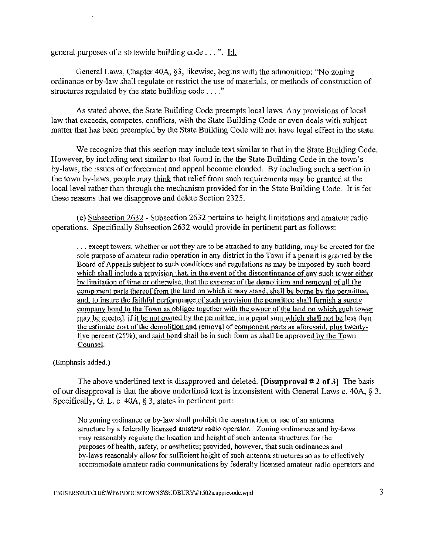general purposes of a statewide building code ... ". Id.

General Laws, Chapter 40A, §3, likewise, begins with the admonition: "No zoning" ordinance or by-law shall regulate or restrict the use of materials, or methods of construction of structures regulated by the state building code  $\dots$ ."

As stated above, the State Building Code preempts local laws. Any provisions of local law that exceeds, competes, conflicts, with the State Building Code or even deals with subject matter that has been preempted by the State Building Code will not have legal effect in the state.

We recognize that this section may include text similar to that in the State Building Code. However, by including text similar to that found in the the State Building Code in the town's by-laws, the issues of enforcement and appeal become clouded. By including such a section in the town by-laws, people may think that relief from such requirements may be granted at the local level rather than through the mechanism provided for in the State Building Code. It is for these reasons that we disapprove and delete Section 2325.

(c) Subsection 2632 - Subsection 2632 pertains to height limitations and amateur radio operations. Specifically Subsection 2632 would provide in pertinent part as follows:

... except towers, whether or not they are to be attached to any building, may be erected for the sole purpose of amateur radio operation in any district in the Town if a permit is granted by the Board of Appeals subject to such conditions and regulations as may be imposed by such board which shall include a provision that. in the event of the discontinuance of any such tower either by limitation of time or otherwise. that the expense of the demolition and removal of all the component parts thereof from the land on which it may stand. shall be borne by the permittee, and, to insure the faithful performance of such provision the permittee shall furnish a surety company bond to the Town as obligee together with the owner of the land on which such tower may be erected, if it be not owned by the permittee. in a penal sum which shall not be less than the estimate cost of the demolition and removal of component parts as aforesaid, plus twentyfive percent (25%); and said bond shall be in such form as shall be approved by the Town Counsel.

(Emphasis added.)

The above underlined text is disapproved and deleted. **[Disapproval# 2 of** 3] The basis of our disapproval is that the above underlined text is inconsistent with General Laws c. 40A,  $\S$  3. Specifically, G. L. c. 40A, § 3, states in pertinent part:

No zoning ordinance or by-law shall prohibit the construction or use of an antenna structure by a federally licensed amateur radio operator. Zoning ordinances and by-laws may reasonably regulate the location and height of such antenna structures for the purposes of health, safety, or aesthetics; provided, however, that such ordinances and by-laws reasonably allow for sufficient height of such antenna structures so as to effectively accommodate amateur radio communications by federally licensed amateur radio operators and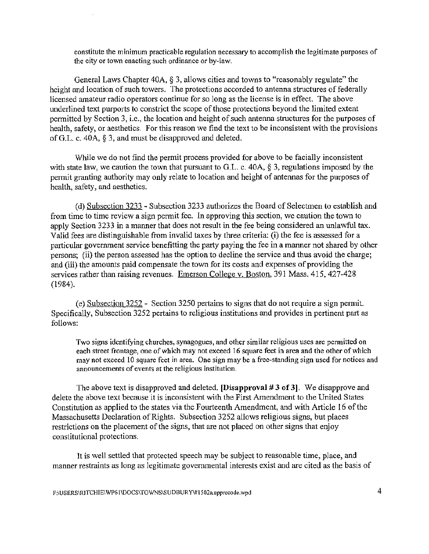constitute the minimum practicable regulation necessary to accomplish the legitimate purposes of the city or town enacting such ordinance or by-law.

General Laws Chapter 40A, § 3, allows cities and towns to "reasonably regulate" the height and location of such towers. The protections accorded to antenna structures of federally licensed amateur radio operators continue for so long as the license is in effect. The above underlined text purports to constrict the scope of those protections beyond the limited extent permitted by Section 3, i.e., the location and height of such antenna structures for the purposes of health, safety, or aesthetics. For this reason we find the text to be inconsistent with the provisions of G.L. c. 40A, § 3, and must be disapproved and deleted.

While we do not find the permit process provided for above to be facially inconsistent with state law, we caution the town that pursuant to G.L. c. 40A, § 3, regulations imposed by the permit granting authority may only relate to location and height of antennas for the purposes of health, safety, and aesthetics.

(d) Subsection 3233 - Subsection 3233 authorizes the Board of Selectmen to establish and from time to time review a sign permit fee. In approving this section, we caution the town to apply Section 3233 in a manner that does not result in the fee being considered an unlawful tax. Valid fees are distinguishable from invalid taxes by three criteria: (i) the fee is assessed for a particular government service benefitting the party paying the fee in a manner not shared by other persons; (ii) the person assessed has the option to decline the service and thus avoid the charge; and (iii) the amounts paid compensate the town for its costs and expenses of providing the services rather than raising revenues. Emerson College v. Boston, 391 Mass. 415, 427-428 (1984).

(e) Subsection 3252 - Section 3250 pertains to signs that do not require a sign permit. Specifically, Subsection 3252 pertains to religious institutions and provides in pertinent part as follows:

Two signs identifying churches, synagogues, and other similar religious uses are permitted on each street frontage, one of which may not exceed 16 square feet in area and the other of which may not exceed 10 square feet in area. One sign may be a free-standing sign used for notices and announcements of events at the religious institution.

The above text is disapproved and deleted. **[Disapproval#** 3 of 3]. We disapprove and delete the above text because it is inconsistent with the First Amendment to the United States Constitution as applied to the states via the Fourteenth Amendment, and with Article 16 of the Massachusetts Declaration of Rights. Subsection 3252 allows religious signs, but places restrictions on the placement of the signs, that are not placed on other signs that enjoy constitutional protections.

It is well settled that protected speech may be subject to reasonable time, place, and manner restraints as long as legitimate governmental interests exist and are cited as the basis of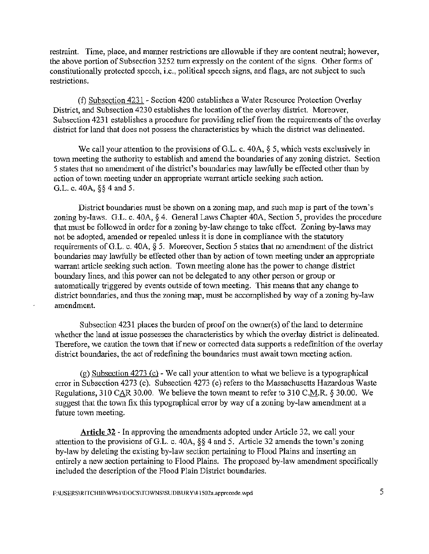restraint. Time, place, and manner restrictions are allowable if they are content neutral; however, the above portion of Subsection 3252 turn expressly on the content of the signs. Other forms of constitutionally protected speech, i.e., political speech signs, and flags, are not subject to such restrictions.

(f) Subsection 4231 - Section 4200 establishes a Water Resource Protection Overlay District, and Subsection 4230 establishes the location of the overlay district. Moreover, Subsection 4231 establishes a procedure for providing relief from the requirements of the overlay district for land that does not possess the characteristics by which the district was delineated.

We call your attention to the provisions of G.L. c. 40A,  $\S$  5, which vests exclusively in town meeting the authority to establish and amend the boundaries of any zoning district. Section 5 states that no amendment of the district's boundaries may lawfully be effected other than by action of town meeting under an appropriate warrant article seeking such action. G.L. c. 40A, §§ 4 and 5.

District boundaries must be shown on a zoning map, and such map is part of the town's zoning by-laws. G.L. c. 40A, § 4. General Laws Chapter 40A, Section 5, provides the procedure that must be followed in order for a zoning by-law change to take effect. Zoning by-laws may not be adopted, amended or repealed unless it is done in compliance with the statutory requirements of G.L. c. 40A, § 5. Moreover, Section 5 states that no amendment of the district boundaries may lawfully be effected other than by action of town meeting under an appropriate warrant article seeking such action. Town meeting alone has the power to change district boundary lines, and this power can not be delegated to any other person or group or automatically triggered by events outside of town meeting. This means that any change to district boundaries, and thus the zoning map, must be accomplished by way of a zoning by-law amendment.

Subsection 4231 places the burden of proof on the owner(s) of the land to determine whether the land at issue possesses the characteristics by which the overlay district is delineated. Therefore, we caution the town that if new or corrected data supports a redefinition of the overlay district boundaries, the act of redefining the boundaries must await town meeting action.

(g) Subsection  $4273$  (c) - We call your attention to what we believe is a typographical error in Subsection 4273 (c). Subsection 4273 (c) refers to the Massachusetts Hazardous Waste Regulations, 310 CAR 30.00. We believe the town meant to refer to 310 C.M.R. § 30.00. We suggest that the town fix this typographical error by way of a zoning by-law amendment at a future town meeting.

**Article** 32 - In approving the mnendments adopted under Article 32, we call your attention to the provisions of G.L. c. 40A,  $\S\S 4$  and 5. Article 32 amends the town's zoning by-law by deleting the existing by-law section pertaining to Flood Plains and inserting an entirely a new section pertaining to Flood Plains. The proposed by-law amendment specifically included the description of the Flood Plain District boundaries.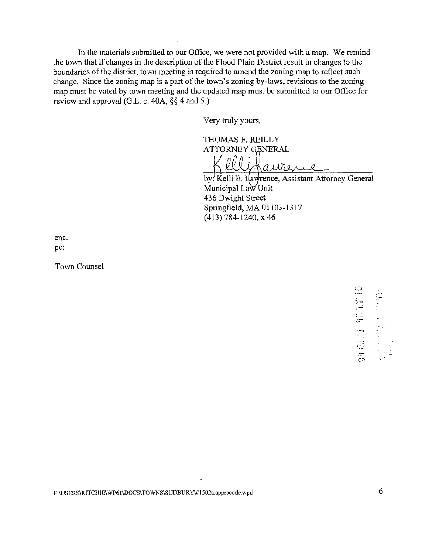In the materials submitted to our Office, we were not provided with a map. We remind the town that if changes in the description of the Flood Plain District result in changes to the boundaries of the district, town meeting is required to amend the zoning map to reflect such change. Since the zoning map is a part of the town's zoning by-laws, revisions to the zoning map must be voted by town meeting and the updated map must be submitted to our Office for review and approval (G.L. c. 40A, §§ 4 and 5.)

Very truly yours,

THOMAS F. REILLY ATTORNEY GENERAL <sup>I</sup>*Qi\_;* ; a.,UJ7

by: Kelli E. Ilawrence, Assistant Attorney General Municipal Law Unit 436 Dwight Street Springfield, MA 01103-1317 (413) 784-1240, x 46

enc. pc:

Town Counsel

\_ .. ,

F:\USERS\RITCHIE\WP61\DOCS\TOWNS\SUDBURY\#1502a.apprecode.wpd 6